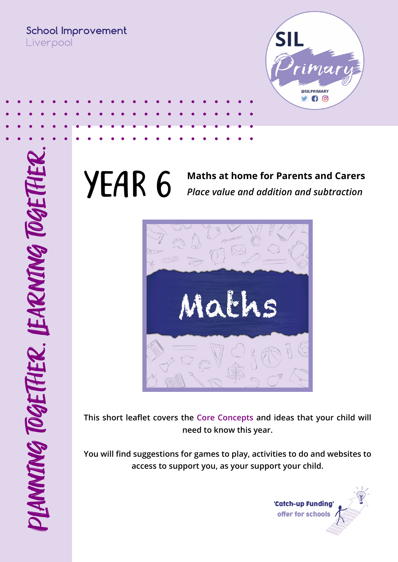**School Improvement** Liverpool



#### **YEAR 6** Maths at home for Parents and Carers<br>*Place value and addition and subtraction Place value and addition and subtraction*



**This short leaflet covers the Core Concepts and ideas that your child will need to know this year.** 

**You will find suggestions for games to play, activities to do and websites to access to support you, as your support your child.** 

> 'Catch-up Funding offer for schools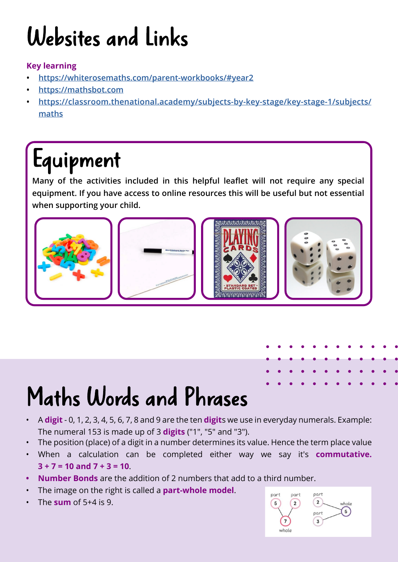# Websites and Links

#### **Key learning**

- **• <https://whiterosemaths.com/parent-workbooks/#year2>**
- **• <https://mathsbot.com>**
- **• [https://classroom.thenational.academy/subjects-by-key-stage/key-stage-1/subjects/](https://classroom.thenational.academy/subjects-by-key-stage/key-stage-1/subjects/maths) [maths](https://classroom.thenational.academy/subjects-by-key-stage/key-stage-1/subjects/maths)**

#### Equipment

**Many of the activities included in this helpful leaflet will not require any special equipment. If you have access to online resources this will be useful but not essential when supporting your child.**



## Maths Words and Phrases

- A **digit** 0, 1, 2, 3, 4, 5, 6, 7, 8 and 9 are the ten **digit**s we use in everyday numerals. Example: The numeral 153 is made up of 3 **digits** ("1", "5" and "3").
- The position (place) of a digit in a number determines its value. Hence the term place value
- When a calculation can be completed either way we say it's **commutative. 3 + 7 = 10 and 7 + 3 = 10**.
- **• Number Bonds** are the addition of 2 numbers that add to a third number.
- The image on the right is called a **part-whole model**.
- The **sum** of 5+4 is 9.

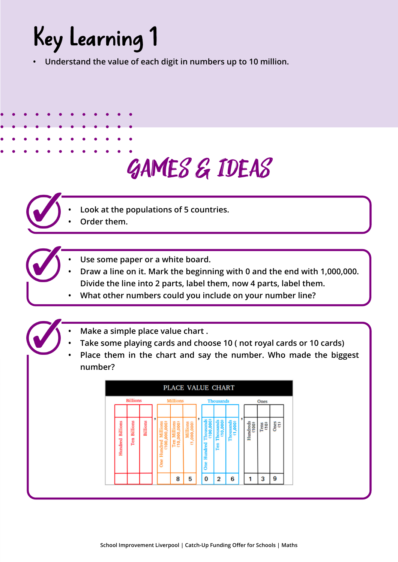#### Key Learning 1

**• Understand the value of each digit in numbers up to 10 million.** 

#### Games & Ideas

- 
- **• Look at the populations of 5 countries.**
- **• Order them.**
- **• Use some paper or a white board.**
- **• Draw a line on it. Mark the beginning with 0 and the end with 1,000,000. Divide the line into 2 parts, label them, now 4 parts, label them.**
- **• What other numbers could you include on your number line?**
- **• Make a simple place value chart .**
- **• Take some playing cards and choose 10 ( not royal cards or 10 cards)**
- **• Place them in the chart and say the number. Who made the biggest number?**

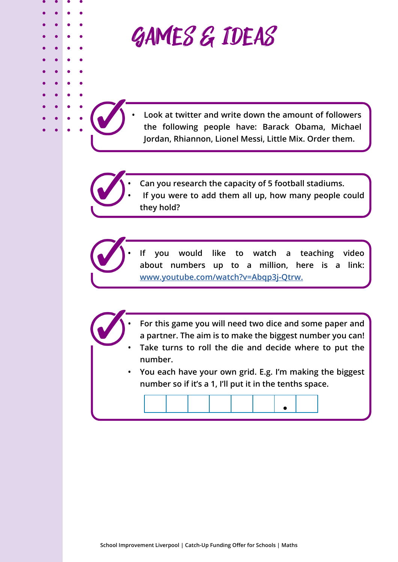

**they hold?** 

**• Look at twitter and write down the amount of followers the following people have: Barack Obama, Michael Jordan, Rhiannon, Lionel Messi, Little Mix. Order them.** 

**• Can you research the capacity of 5 football stadiums. • If you were to add them all up, how many people could** 

**• If you would like to watch a teaching video about numbers up to a million, here is a link: [www.youtube.com/watch?v=Abqp3j-Qtrw](http://www.youtube.com/watch?v=Abqp3j-Qtrw).**

- **• For this game you will need two dice and some paper and a partner. The aim is to make the biggest number you can!**
- **• Take turns to roll the die and decide where to put the number.**
- **• You each have your own grid. E.g. I'm making the biggest number so if it's a 1, I'll put it in the tenths space.**

 $\bullet$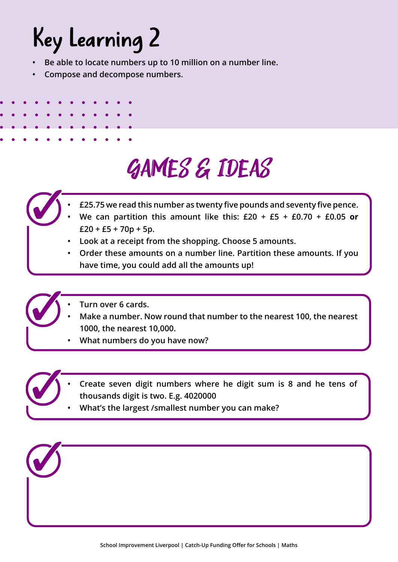### Key Learning 2

- **• Be able to locate numbers up to 10 million on a number line.**
- **• Compose and decompose numbers.**

- Games & Ideas
- **• £25.75 we read this number as twenty five pounds and seventy five pence.** 
	- **• We can partition this amount like this: £20 + £5 + £0.70 + £0.05 or £20 + £5 + 70p + 5p.**
- **• Look at a receipt from the shopping. Choose 5 amounts.**
- **• Order these amounts on a number line. Partition these amounts. If you have time, you could add all the amounts up!**
- 
- **• Turn over 6 cards.**
- **• Make a number. Now round that number to the nearest 100, the nearest 1000, the nearest 10,000.**
- **• What numbers do you have now?**
- 
- **• Create seven digit numbers where he digit sum is 8 and he tens of thousands digit is two. E.g. 4020000**
- **• What's the largest /smallest number you can make?**